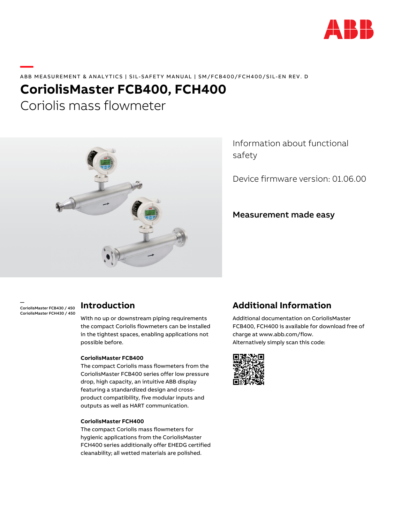

#### ABB MEASUREMENT & ANALYTICS | SIL-SAFETY MANUAL | SM/FCB400/FCH400/SIL-EN REV. D

# **CoriolisMaster FCB400, FCH400**

Coriolis mass flowmeter



Information about functional safety

Device firmware version: 01.06.00

Measurement made easy

CoriolisMaster FCB430 / 450 CoriolisMaster FCH430 / 450

—

**—** 

### **Introduction**

With no up or downstream piping requirements the compact Coriolis flowmeters can be installed in the tightest spaces, enabling applications not possible before.

#### **CoriolisMaster FCB400**

The compact Coriolis mass flowmeters from the CoriolisMaster FCB400 series offer low pressure drop, high capacity, an intuitive ABB display featuring a standardized design and crossproduct compatibility, five modular inputs and outputs as well as HART communication.

#### **CoriolisMaster FCH400**

The compact Coriolis mass flowmeters for hygienic applications from the CoriolisMaster FCH400 series additionally offer EHEDG certified cleanability; all wetted materials are polished.

### **Additional Information**

Additional documentation on CoriolisMaster FCB400, FCH400 is available for download free of charge at www.abb.com/flow. Alternatively simply scan this code:

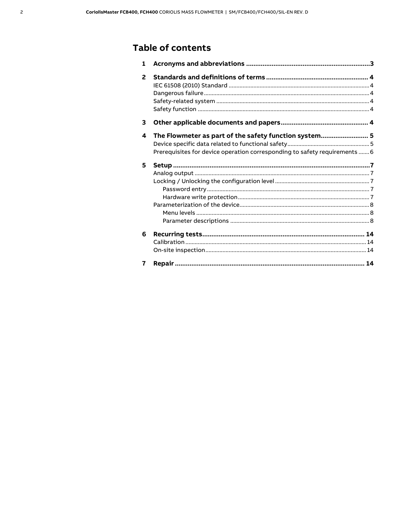## **Table of contents**

| 1  |                                                                            |  |
|----|----------------------------------------------------------------------------|--|
| 2  |                                                                            |  |
|    |                                                                            |  |
|    |                                                                            |  |
|    |                                                                            |  |
|    |                                                                            |  |
| 3  |                                                                            |  |
| 4  | The Flowmeter as part of the safety function system 5                      |  |
|    |                                                                            |  |
|    | Prerequisites for device operation corresponding to safety requirements  6 |  |
| 5. |                                                                            |  |
|    |                                                                            |  |
|    |                                                                            |  |
|    |                                                                            |  |
|    |                                                                            |  |
|    |                                                                            |  |
|    |                                                                            |  |
|    |                                                                            |  |
| 6  |                                                                            |  |
|    |                                                                            |  |
|    |                                                                            |  |
| 7  |                                                                            |  |
|    |                                                                            |  |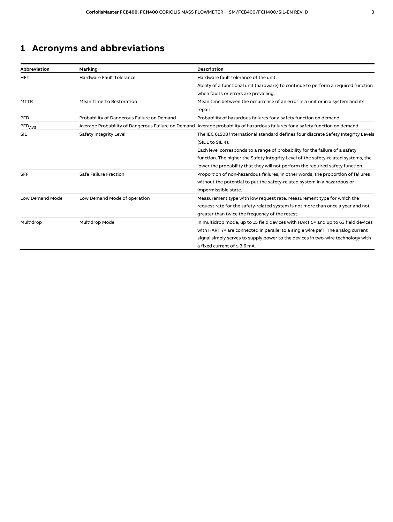# **1 Acronyms and abbreviations**

| Abbreviation           | Marking                                    | <b>Description</b>                                                                                                            |
|------------------------|--------------------------------------------|-------------------------------------------------------------------------------------------------------------------------------|
| <b>HFT</b>             | <b>Hardware Fault Tolerance</b>            | Hardware fault tolerance of the unit.                                                                                         |
|                        |                                            | Ability of a functional unit (hardware) to continue to perform a required function                                            |
|                        |                                            | when faults or errors are prevailing.                                                                                         |
| <b>MTTR</b>            | Mean Time To Restoration                   | Mean time between the occurrence of an error in a unit or in a system and its                                                 |
|                        |                                            | repair.                                                                                                                       |
| <b>PFD</b>             | Probability of Dangerous Failure on Demand | Probability of hazardous failures for a safety function on demand.                                                            |
| PFD <sub>AVG</sub>     |                                            | Average Probability of Dangerous Failure on Demand Average probability of hazardous failures for a safety function on demand. |
| SIL                    | Safety Integrity Level                     | The IEC 61508 international standard defines four discrete Safety Integrity Levels                                            |
|                        |                                            | (SIL 1 to SIL 4).                                                                                                             |
|                        |                                            | Each level corresponds to a range of probability for the failure of a safety                                                  |
|                        |                                            | function. The higher the Safety Integrity Level of the safety-related systems, the                                            |
|                        |                                            | lower the probability that they will not perform the required safety function.                                                |
| <b>SFF</b>             | <b>Safe Failure Fraction</b>               | Proportion of non-hazardous failures; in other words, the proportion of failures                                              |
|                        |                                            | without the potential to put the safety-related system in a hazardous or                                                      |
|                        |                                            | impermissible state.                                                                                                          |
| <b>Low Demand Mode</b> | Low Demand Mode of operation               | Measurement type with low request rate. Measurement type for which the                                                        |
|                        |                                            | request rate for the safety-related system is not more than once a year and not                                               |
|                        |                                            | greater than twice the frequency of the retest.                                                                               |
| Multidrop              | Multidrop Mode                             | In multidrop mode, up to 15 field devices with HART 5 <sup>®</sup> and up to 63 field devices                                 |
|                        |                                            | with HART 7 <sup>®</sup> are connected in parallel to a single wire pair. The analog current                                  |
|                        |                                            | signal simply serves to supply power to the devices in two-wire technology with                                               |
|                        |                                            | a fixed current of $\leq 3.6$ mA.                                                                                             |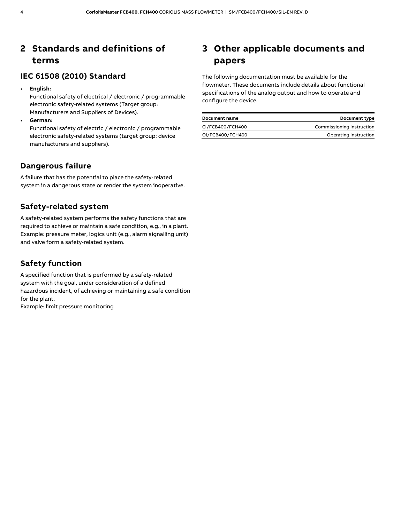## **2 Standards and definitions of terms**

### **IEC 61508 (2010) Standard**

• **English:**

 Functional safety of electrical / electronic / programmable electronic safety-related systems (Target group: Manufacturers and Suppliers of Devices).

• **German:**

 Functional safety of electric / electronic / programmable electronic safety-related systems (target group: device manufacturers and suppliers).

### **Dangerous failure**

A failure that has the potential to place the safety-related system in a dangerous state or render the system inoperative.

### **Safety-related system**

A safety-related system performs the safety functions that are required to achieve or maintain a safe condition, e.g., in a plant. Example: pressure meter, logics unit (e.g., alarm signalling unit) and valve form a safety-related system.

### **Safety function**

A specified function that is performed by a safety-related system with the goal, under consideration of a defined hazardous incident, of achieving or maintaining a safe condition for the plant.

Example: limit pressure monitoring

## **3 Other applicable documents and papers**

The following documentation must be available for the flowmeter. These documents include details about functional specifications of the analog output and how to operate and configure the device.

| Document name    | Document type             |
|------------------|---------------------------|
| CI/FCB400/FCH400 | Commissioning Instruction |
| OI/FCB400/FCH400 | Operating Instruction     |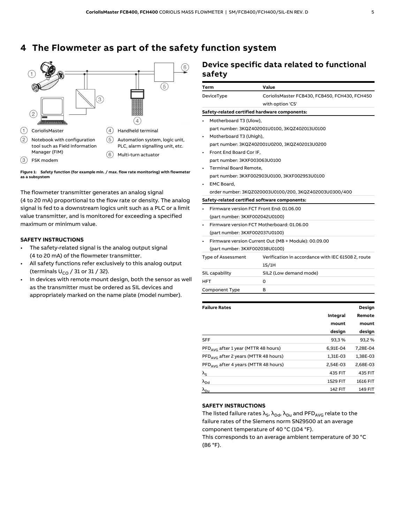## **4 The Flowmeter as part of the safety function system**



**Figure 1: Safety function (for example min. / max. flow rate monitoring) with flowmeter as a subsystem** 

The flowmeter transmitter generates an analog signal (4 to 20 mA) proportional to the flow rate or density. The analog signal is fed to a downstream logics unit such as a PLC or a limit value transmitter, and is monitored for exceeding a specified maximum or minimum value.

#### **SAFETY INSTRUCTIONS**

- The safety-related signal is the analog output signal (4 to 20 mA) of the flowmeter transmitter.
- All safety functions refer exclusively to this analog output (terminals  $U_{CO}$  / 31 or 31 / 32).
- In devices with remote mount design, both the sensor as well as the transmitter must be ordered as SIL devices and appropriately marked on the name plate (model number).

### **Device specific data related to functional safety**

| Term                                          | Value                                                  |        |  |  |  |
|-----------------------------------------------|--------------------------------------------------------|--------|--|--|--|
| DeviceType                                    | CoriolisMaster FCB430, FCB450, FCH430, FCH450          |        |  |  |  |
|                                               | with option 'CS'                                       |        |  |  |  |
| Safety-related certified hardware components: |                                                        |        |  |  |  |
| Motherboard T3 (Ulow),                        |                                                        |        |  |  |  |
|                                               | part number: 3KQZ402001U0100, 3KQZ402013U0100          |        |  |  |  |
| Motherboard T3 (Uhigh),                       |                                                        |        |  |  |  |
|                                               | part number: 3KQZ402001U0200, 3KQZ402013U0200          |        |  |  |  |
| Front End Board Cor IF,                       |                                                        |        |  |  |  |
| part number: 3KXF003063U0100                  |                                                        |        |  |  |  |
| Terminal Board Remote,                        |                                                        |        |  |  |  |
|                                               | part number: 3KXF002903U0100, 3KXF002953U0100          |        |  |  |  |
| EMC Board,                                    |                                                        |        |  |  |  |
|                                               | order number: 3KQZ020003U0100/200, 3KQZ402003U0300/400 |        |  |  |  |
| Safety-related certified software components: |                                                        |        |  |  |  |
| Firmware version FCT Front End: 01.06.00      |                                                        |        |  |  |  |
| (part number: 3KXF002042U0100)                |                                                        |        |  |  |  |
|                                               | Firmware version FCT Motherboard: 01.06.00             |        |  |  |  |
|                                               | (part number: 3KXF002037U0100)                         |        |  |  |  |
|                                               | Firmware version Current Out (MB + Module): 00.09.00   |        |  |  |  |
| (part number: 3KXF002038U0100)                |                                                        |        |  |  |  |
| <b>Type of Assessment</b>                     | Verification in accordance with IEC 61508 2, route     |        |  |  |  |
|                                               | 1S/1H                                                  |        |  |  |  |
| SIL capability                                | SIL2 (Low demand mode)                                 |        |  |  |  |
| HFT                                           | 0                                                      |        |  |  |  |
| Component Type                                | в                                                      |        |  |  |  |
|                                               |                                                        |        |  |  |  |
| <b>Failure Rates</b>                          |                                                        | Design |  |  |  |
|                                               | Integral                                               | Remote |  |  |  |
|                                               | mount                                                  | mount  |  |  |  |
|                                               | desian                                                 | design |  |  |  |

|                                                  | design   | design   |
|--------------------------------------------------|----------|----------|
| <b>SFF</b>                                       | 93,3%    | 93,2%    |
| PFD <sub>AVG</sub> after 1 year (MTTR 48 hours)  | 6,91E-04 | 7,28E-04 |
| PFD <sub>AVG</sub> after 2 years (MTTR 48 hours) | 1,31E-03 | 1,38E-03 |
| PFD <sub>AVG</sub> after 4 years (MTTR 48 hours) | 2,54E-03 | 2,68E-03 |
| λς                                               | 435 FIT  | 435 FIT  |
| $\lambda_{\sf Dd}$                               | 1529 FIT | 1616 FIT |
| λ <sub>Du</sub>                                  | 142 FIT  | 149 FIT  |

#### **SAFETY INSTRUCTIONS**

The listed failure rates  $\lambda_S$ ,  $\lambda_{\text{Dd}}$ ,  $\lambda_{\text{Du}}$  and PFD<sub>AVG</sub> relate to the failure rates of the Siemens norm SN29500 at an average component temperature of 40 °C (104 °F).

This corresponds to an average ambient temperature of 30 °C (86 °F).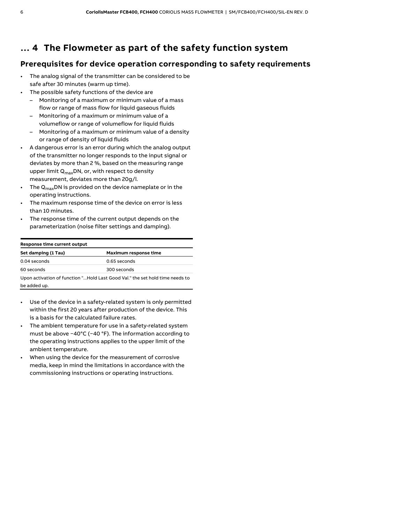## **… 4 The Flowmeter as part of the safety function system**

### **Prerequisites for device operation corresponding to safety requirements**

- The analog signal of the transmitter can be considered to be safe after 30 minutes (warm up time).
- The possible safety functions of the device are
	- Monitoring of a maximum or minimum value of a mass flow or range of mass flow for liquid gaseous fluids
	- Monitoring of a maximum or minimum value of a volumeflow or range of volumeflow for liquid fluids
	- Monitoring of a maximum or minimum value of a density or range of density of liquid fluids
- A dangerous error is an error during which the analog output of the transmitter no longer responds to the input signal or deviates by more than 2 %, based on the measuring range upper limit  $Q_{\text{max}}$ DN, or, with respect to density measurement, deviates more than 20g/l.
- The  $Q_{\text{max}}$ DN is provided on the device nameplate or in the operating instructions.
- The maximum response time of the device on error is less than 10 minutes.
- The response time of the current output depends on the parameterization (noise filter settings and damping).

| Response time current output |                                                                               |  |
|------------------------------|-------------------------------------------------------------------------------|--|
| Set damping (1 Tau)          | Maximum response time                                                         |  |
| 0.04 seconds                 | 0.65 seconds                                                                  |  |
| 60 seconds                   | 300 seconds                                                                   |  |
|                              | Unon activation of function " Hold Last Good Val " the set hold time needs to |  |

Upon activation of function "...Hold Last Good Val." the set hold time needs to be added up.

- Use of the device in a safety-related system is only permitted within the first 20 years after production of the device. This is a basis for the calculated failure rates.
- The ambient temperature for use in a safety-related system must be above −40°C (−40 °F). The information according to the operating instructions applies to the upper limit of the ambient temperature.
- When using the device for the measurement of corrosive media, keep in mind the limitations in accordance with the commissioning instructions or operating instructions.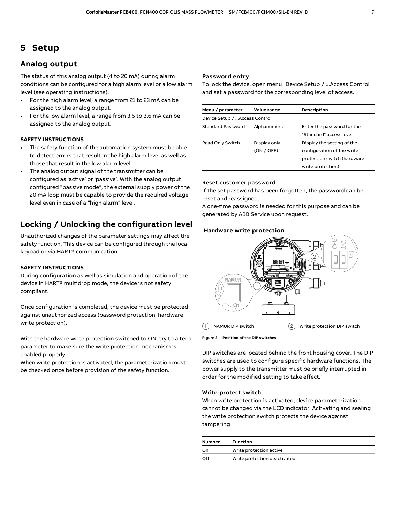## **5 Setup**

### **Analog output**

The status of this analog output (4 to 20 mA) during alarm conditions can be configured for a high alarm level or a low alarm level (see operating instructions).

- For the high alarm level, a range from 21 to 23 mA can be assigned to the analog output.
- For the low alarm level, a range from 3.5 to 3.6 mA can be assigned to the analog output.

#### **SAFETY INSTRUCTIONS**

- The safety function of the automation system must be able to detect errors that result in the high alarm level as well as those that result in the low alarm level.
- The analog output signal of the transmitter can be configured as 'active' or 'passive'. With the analog output configured "passive mode", the external supply power of the 20 mA loop must be capable to provide the required voltage level even in case of a "high alarm" level.

### **Locking / Unlocking the configuration level**

Unauthorized changes of the parameter settings may affect the safety function. This device can be configured through the local keypad or via HART® communication.

#### **SAFETY INSTRUCTIONS**

During configuration as well as simulation and operation of the device in HART® multidrop mode, the device is not safety compliant.

Once configuration is completed, the device must be protected against unauthorized access (password protection, hardware write protection).

With the hardware write protection switched to ON, try to alter a parameter to make sure the write protection mechanism is enabled properly

When write protection is activated, the parameterization must be checked once before provision of the safety function.

#### **Password entry**

To lock the device, open menu "Device Setup / ...Access Control" and set a password for the corresponding level of access.

| Menu / parameter               | Value range                | <b>Description</b>                                                                                           |
|--------------------------------|----------------------------|--------------------------------------------------------------------------------------------------------------|
| Device Setup /  Access Control |                            |                                                                                                              |
| <b>Standard Password</b>       | Alphanumeric               | Enter the password for the<br>"Standard" access level.                                                       |
| Read Only Switch               | Display only<br>(ON / OFF) | Display the setting of the<br>configuration of the write<br>protection switch (hardware<br>write protection) |

#### Reset customer password

If the set password has been forgotten, the password can be reset and reassigned.

A one-time password is needed for this purpose and can be generated by ABB Service upon request.

#### **Hardware write protection**



**Figure 2: Position of the DIP switches** 

DIP switches are located behind the front housing cover. The DIP switches are used to configure specific hardware functions. The power supply to the transmitter must be briefly interrupted in order for the modified setting to take effect.

#### Write-protect switch

When write protection is activated, device parameterization cannot be changed via the LCD indicator. Activating and sealing the write protection switch protects the device against tampering

| <b>Number</b> | <b>Function</b>               |  |
|---------------|-------------------------------|--|
| On            | Write protection active       |  |
| Off           | Write protection deactivated. |  |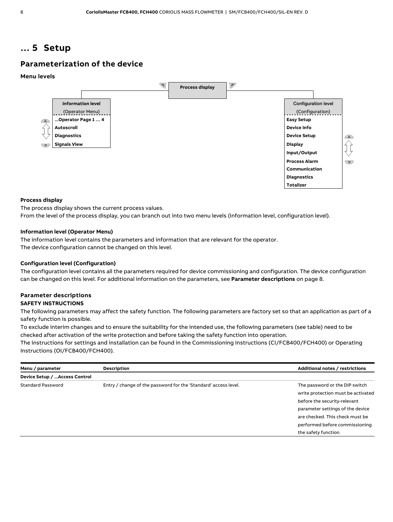## **… 5 Setup**

### **Parameterization of the device**

#### **Menu levels**



#### **Process display**

The process display shows the current process values.

From the level of the process display, you can branch out into two menu levels (information level, configuration level).

#### **Information level (Operator Menu)**

The information level contains the parameters and information that are relevant for the operator. The device configuration cannot be changed on this level.

#### **Configuration level (Configuration)**

The configuration level contains all the parameters required for device commissioning and configuration. The device configuration can be changed on this level. For additional information on the parameters, see **Parameter descriptions** on page 8.

#### **Parameter descriptions SAFETY INSTRUCTIONS**

The following parameters may affect the safety function. The following parameters are factory set so that an application as part of a safety function is possible.

To exclude interim changes and to ensure the suitability for the intended use, the following parameters (see table) need to be checked after activation of the write protection and before taking the safety function into operation.

The instructions for settings and installation can be found in the Commissioning Instructions (CI/FCB400/FCH400) or Operating Instructions (OI/FCB400/FCH400).

| Menu / parameter               | Description                                                     | Additional notes / restrictions    |
|--------------------------------|-----------------------------------------------------------------|------------------------------------|
| Device Setup /  Access Control |                                                                 |                                    |
| <b>Standard Password</b>       | Entry / change of the password for the 'Standard' access level. | The password or the DIP switch     |
|                                |                                                                 | write protection must be activated |
|                                |                                                                 | before the security-relevant       |
|                                |                                                                 | parameter settings of the device   |
|                                |                                                                 | are checked. This check must be    |
|                                |                                                                 | performed before commissioning     |
|                                |                                                                 | the safety function.               |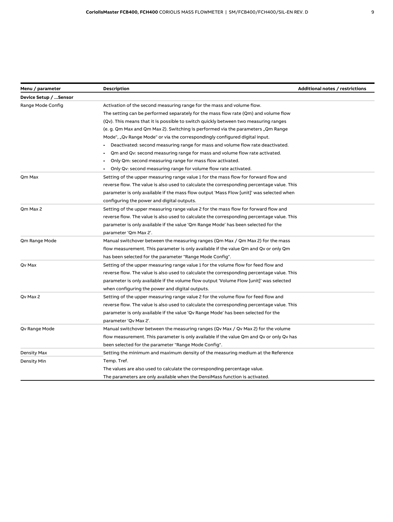| Menu / parameter      | Description                                                                                | Additional notes / restrictions |
|-----------------------|--------------------------------------------------------------------------------------------|---------------------------------|
| Device Setup / Sensor |                                                                                            |                                 |
| Range Mode Config     | Activation of the second measuring range for the mass and volume flow.                     |                                 |
|                       | The setting can be performed separately for the mass flow rate (Qm) and volume flow        |                                 |
|                       | (Qv). This means that it is possible to switch quickly between two measuring ranges        |                                 |
|                       | (e.g. Qm Max and Qm Max 2). Switching is performed via the parameters "Qm Range            |                                 |
|                       | Mode", "Qv Range Mode" or via the correspondingly configured digital input.                |                                 |
|                       | Deactivated: second measuring range for mass and volume flow rate deactivated.             |                                 |
|                       | Qm and Qv: second measuring range for mass and volume flow rate activated.                 |                                 |
|                       | Only Qm: second measuring range for mass flow activated.                                   |                                 |
|                       | • Only Qv: second measuring range for volume flow rate activated.                          |                                 |
| Qm Max                | Setting of the upper measuring range value 1 for the mass flow for forward flow and        |                                 |
|                       | reverse flow. The value is also used to calculate the corresponding percentage value. This |                                 |
|                       | parameter is only available if the mass flow output 'Mass Flow [unit]' was selected when   |                                 |
|                       | configuring the power and digital outputs.                                                 |                                 |
| Qm Max 2              | Setting of the upper measuring range value 2 for the mass flow for forward flow and        |                                 |
|                       | reverse flow. The value is also used to calculate the corresponding percentage value. This |                                 |
|                       | parameter is only available if the value 'Qm Range Mode' has been selected for the         |                                 |
|                       | parameter 'Qm Max 2'.                                                                      |                                 |
| Qm Range Mode         | Manual switchover between the measuring ranges (Qm Max / Qm Max 2) for the mass            |                                 |
|                       | flow measurement. This parameter is only available if the value Qm and Qv or only Qm       |                                 |
|                       | has been selected for the parameter "Range Mode Config".                                   |                                 |
| Qv Max                | Setting of the upper measuring range value 1 for the volume flow for feed flow and         |                                 |
|                       | reverse flow. The value is also used to calculate the corresponding percentage value. This |                                 |
|                       | parameter is only available if the volume flow output 'Volume Flow [unit]' was selected    |                                 |
|                       | when configuring the power and digital outputs.                                            |                                 |
| Qv Max 2              | Setting of the upper measuring range value 2 for the volume flow for feed flow and         |                                 |
|                       | reverse flow. The value is also used to calculate the corresponding percentage value. This |                                 |
|                       | parameter is only available if the value 'Qv Range Mode' has been selected for the         |                                 |
|                       | parameter 'Qv Max 2'.                                                                      |                                 |
| Qv Range Mode         | Manual switchover between the measuring ranges (Qv Max / Qv Max 2) for the volume          |                                 |
|                       | flow measurement. This parameter is only available if the value Qm and Qv or only Qv has   |                                 |
|                       | been selected for the parameter "Range Mode Config".                                       |                                 |
| Density Max           | Setting the minimum and maximum density of the measuring medium at the Reference           |                                 |
| Density Min           | Temp. Tref.                                                                                |                                 |
|                       | The values are also used to calculate the corresponding percentage value.                  |                                 |
|                       | The parameters are only available when the DensiMass function is activated.                |                                 |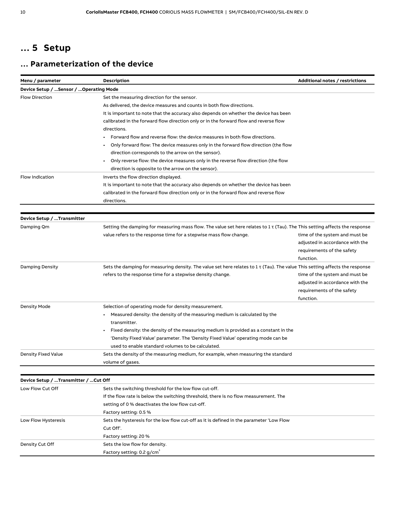# **… 5 Setup**

# **… Parameterization of the device**

| Menu / parameter                         | Description                                                                                                                       | Additional notes / restrictions         |
|------------------------------------------|-----------------------------------------------------------------------------------------------------------------------------------|-----------------------------------------|
| Device Setup /  Sensor /  Operating Mode |                                                                                                                                   |                                         |
| <b>Flow Direction</b>                    | Set the measuring direction for the sensor.                                                                                       |                                         |
|                                          | As delivered, the device measures and counts in both flow directions.                                                             |                                         |
|                                          | It is important to note that the accuracy also depends on whether the device has been                                             |                                         |
|                                          | calibrated in the forward flow direction only or in the forward flow and reverse flow                                             |                                         |
|                                          | directions.                                                                                                                       |                                         |
|                                          | Forward flow and reverse flow: the device measures in both flow directions.                                                       |                                         |
|                                          | Only forward flow: The device measures only in the forward flow direction (the flow                                               |                                         |
|                                          | direction corresponds to the arrow on the sensor).                                                                                |                                         |
|                                          | Only reverse flow: the device measures only in the reverse flow direction (the flow                                               |                                         |
|                                          | direction is opposite to the arrow on the sensor).                                                                                |                                         |
| Flow Indication                          | Inverts the flow direction displayed.                                                                                             |                                         |
|                                          | It is important to note that the accuracy also depends on whether the device has been                                             |                                         |
|                                          | calibrated in the forward flow direction only or in the forward flow and reverse flow                                             |                                         |
|                                          | directions.                                                                                                                       |                                         |
|                                          |                                                                                                                                   |                                         |
| Device Setup / Transmitter               |                                                                                                                                   |                                         |
| Damping Qm                               | Setting the damping for measuring mass flow. The value set here relates to 1 $\tau$ (Tau). The This setting affects the response  |                                         |
|                                          | value refers to the response time for a stepwise mass flow change.                                                                | time of the system and must be          |
|                                          |                                                                                                                                   | adjusted in accordance with the         |
|                                          |                                                                                                                                   | requirements of the safety              |
|                                          |                                                                                                                                   | function.                               |
| Damping Density                          | Sets the damping for measuring density. The value set here relates to 1 $\tau$ (Tau). The value This setting affects the response |                                         |
|                                          | refers to the response time for a stepwise density change.                                                                        | time of the system and must be          |
|                                          |                                                                                                                                   | adjusted in accordance with the         |
|                                          |                                                                                                                                   | requirements of the safety<br>function. |
| <b>Density Mode</b>                      | Selection of operating mode for density measurement.                                                                              |                                         |
|                                          | Measured density: the density of the measuring medium is calculated by the                                                        |                                         |
|                                          | transmitter.                                                                                                                      |                                         |
|                                          | Fixed density: the density of the measuring medium is provided as a constant in the                                               |                                         |
|                                          | 'Density Fixed Value' parameter. The 'Density Fixed Value' operating mode can be                                                  |                                         |
|                                          | used to enable standard volumes to be calculated.                                                                                 |                                         |
| <b>Density Fixed Value</b>               | Sets the density of the measuring medium, for example, when measuring the standard                                                |                                         |
|                                          | volume of gases.                                                                                                                  |                                         |
|                                          |                                                                                                                                   |                                         |
| Device Setup / Transmitter / Cut Off     |                                                                                                                                   |                                         |
| Low Flow Cut Off                         | Sets the switching threshold for the low flow cut-off.                                                                            |                                         |
|                                          | If the flow rate is below the switching threshold, there is no flow measurement. The                                              |                                         |
|                                          | setting of 0 % deactivates the low flow cut-off.                                                                                  |                                         |
|                                          | Factory setting: 0.5 %                                                                                                            |                                         |
| Low Flow Hysteresis                      | Sets the hysteresis for the low flow cut-off as it is defined in the parameter 'Low Flow                                          |                                         |
|                                          | Cut Off'.                                                                                                                         |                                         |
|                                          | Factory setting: 20 %                                                                                                             |                                         |
| Density Cut Off                          | Sets the low flow for density.                                                                                                    |                                         |
|                                          | Factory setting: 0.2 g/cm <sup>2</sup>                                                                                            |                                         |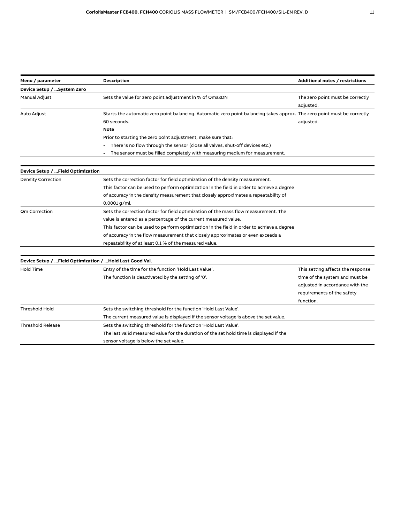| Menu / parameter                                        | Description                                                                                                              | Additional notes / restrictions               |
|---------------------------------------------------------|--------------------------------------------------------------------------------------------------------------------------|-----------------------------------------------|
| Device Setup /  System Zero                             |                                                                                                                          |                                               |
| Manual Adjust                                           | Sets the value for zero point adjustment in % of QmaxDN                                                                  | The zero point must be correctly<br>adjusted. |
| Auto Adjust                                             | Starts the automatic zero point balancing. Automatic zero point balancing takes approx. The zero point must be correctly |                                               |
|                                                         | 60 seconds.                                                                                                              | adjusted.                                     |
|                                                         | <b>Note</b>                                                                                                              |                                               |
|                                                         | Prior to starting the zero point adjustment, make sure that:                                                             |                                               |
|                                                         | There is no flow through the sensor (close all valves, shut-off devices etc.)                                            |                                               |
|                                                         | The sensor must be filled completely with measuring medium for measurement.                                              |                                               |
|                                                         |                                                                                                                          |                                               |
| Device Setup /  Field Optimization                      |                                                                                                                          |                                               |
| <b>Density Correction</b>                               | Sets the correction factor for field optimization of the density measurement.                                            |                                               |
|                                                         | This factor can be used to perform optimization in the field in order to achieve a degree                                |                                               |
|                                                         | of accuracy in the density measurement that closely approximates a repeatability of                                      |                                               |
|                                                         | $0.0001$ g/ml.                                                                                                           |                                               |
| Om Correction                                           | Sets the correction factor for field optimization of the mass flow measurement. The                                      |                                               |
|                                                         | value is entered as a percentage of the current measured value.                                                          |                                               |
|                                                         | This factor can be used to perform optimization in the field in order to achieve a degree                                |                                               |
|                                                         | of accuracy in the flow measurement that closely approximates or even exceeds a                                          |                                               |
|                                                         | repeatability of at least 0.1 % of the measured value.                                                                   |                                               |
| Device Setup / Field Optimization / Hold Last Good Val. |                                                                                                                          |                                               |
| <b>Hold Time</b>                                        | Entry of the time for the function 'Hold Last Value'.                                                                    | This setting affects the response             |
|                                                         | The function is deactivated by the setting of '0'.                                                                       | time of the system and must be                |
|                                                         |                                                                                                                          | adjusted in accordance with the               |
|                                                         |                                                                                                                          | requirements of the safety                    |
|                                                         |                                                                                                                          | function.                                     |
| <b>Threshold Hold</b>                                   | Sets the switching threshold for the function 'Hold Last Value'.                                                         |                                               |
|                                                         | The current measured value is displayed if the sensor voltage is above the set value.                                    |                                               |
| <b>Threshold Release</b>                                | Sets the switching threshold for the function 'Hold Last Value'.                                                         |                                               |
|                                                         | The last valid measured value for the duration of the set hold time is displayed if the                                  |                                               |
|                                                         | sensor voltage is below the set value.                                                                                   |                                               |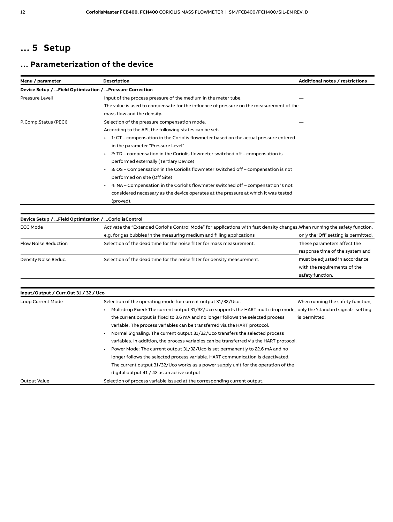## **… 5 Setup**

## **… Parameterization of the device**

| Menu / parameter                                       | Description                                                                                                                 | Additional notes / restrictions      |
|--------------------------------------------------------|-----------------------------------------------------------------------------------------------------------------------------|--------------------------------------|
|                                                        | Device Setup /  Field Optimization /  Pressure Correction                                                                   |                                      |
| Pressure Levell                                        | Input of the process pressure of the medium in the meter tube.                                                              |                                      |
|                                                        | The value is used to compensate for the influence of pressure on the measurement of the                                     |                                      |
|                                                        | mass flow and the density.                                                                                                  |                                      |
| P.Comp.Status (PECI)                                   | Selection of the pressure compensation mode.                                                                                |                                      |
|                                                        | According to the API, the following states can be set.                                                                      |                                      |
|                                                        | $\bullet$ 1: CT – compensation in the Coriolis flowmeter based on the actual pressure entered                               |                                      |
|                                                        | in the parameter "Pressure Level"                                                                                           |                                      |
|                                                        | 2: TD – compensation in the Coriolis flowmeter switched off – compensation is                                               |                                      |
|                                                        | performed externally (Tertiary Device)                                                                                      |                                      |
|                                                        | 3: OS - Compensation in the Coriolis flowmeter switched off - compensation is not                                           |                                      |
|                                                        | performed on site (Off Site)                                                                                                |                                      |
|                                                        | 4: NA – Compensation in the Coriolis flowmeter switched off – compensation is not                                           |                                      |
|                                                        | considered necessary as the device operates at the pressure at which it was tested                                          |                                      |
|                                                        | (proved).                                                                                                                   |                                      |
|                                                        |                                                                                                                             |                                      |
| Device Setup /  Field Optimization /  Coriolis Control |                                                                                                                             |                                      |
| <b>ECC Mode</b>                                        | Activate the "Extended Coriolis Control Mode" for applications with fast density changes, When running the safety function, |                                      |
|                                                        | e.g. for gas bubbles in the measuring medium and filling applications                                                       | only the 'Off' setting is permitted. |
| Flow Noise Reduction                                   | Selection of the dead time for the noise filter for mass measurement.                                                       | These parameters affect the          |
|                                                        |                                                                                                                             | response time of the system and      |
| Density Noise Reduc.                                   | Selection of the dead time for the noise filter for density measurement.                                                    | must be adjusted in accordance       |
|                                                        |                                                                                                                             | with the requirements of the         |
|                                                        |                                                                                                                             | safety function.                     |
|                                                        |                                                                                                                             |                                      |
| Input/Output / Curr.Out 31 / 32 / Uco                  |                                                                                                                             |                                      |
| Loop Current Mode                                      | Selection of the operating mode for current output 31/32/Uco.                                                               | When running the safety function,    |
|                                                        | Multidrop Fixed: The current output 31/32/Uco supports the HART multi-drop mode, only the 'standard signal.:' setting       |                                      |
|                                                        | the current output is fixed to 3.6 mA and no longer follows the selected process                                            | is permitted.                        |
|                                                        | variable. The process variables can be transferred via the HART protocol.                                                   |                                      |
|                                                        | Normal Signaling: The current output 31/32/Uco transfers the selected process                                               |                                      |
|                                                        | variables. In addition, the process variables can be transferred via the HART protocol.                                     |                                      |
|                                                        | Power Mode: The current output 31/32/Uco is set permanently to 22.6 mA and no                                               |                                      |
|                                                        | longer follows the selected process variable. HART communication is deactivated.                                            |                                      |
|                                                        | The current output 31/32/Uco works as a power supply unit for the operation of the                                          |                                      |
|                                                        | digital output 41 / 42 as an active output.                                                                                 |                                      |
| <b>Output Value</b>                                    | Selection of process variable issued at the corresponding current output.                                                   |                                      |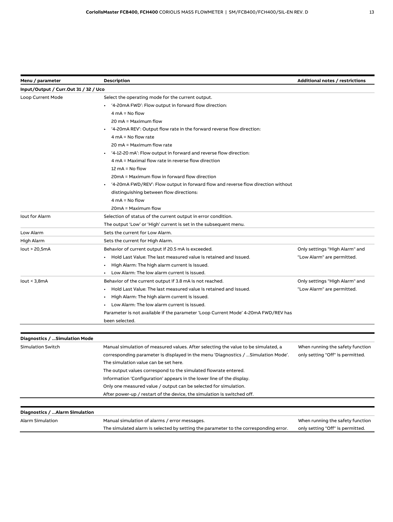| Menu / parameter                      | <b>Description</b>                                                                   | Additional notes / restrictions  |
|---------------------------------------|--------------------------------------------------------------------------------------|----------------------------------|
| Input/Output / Curr.Out 31 / 32 / Uco |                                                                                      |                                  |
| Loop Current Mode                     | Select the operating mode for the current output.                                    |                                  |
|                                       | '4-20mA FWD': Flow output in forward flow direction:                                 |                                  |
|                                       | $4 \text{ mA} = \text{No flow}$                                                      |                                  |
|                                       | $20 \text{ mA}$ = Maximum flow                                                       |                                  |
|                                       | '4-20mA REV': Output flow rate in the forward reverse flow direction:                |                                  |
|                                       | $4 \text{ mA} = \text{No flow rate}$                                                 |                                  |
|                                       | 20 mA = Maximum flow rate                                                            |                                  |
|                                       | '4-12-20 mA': Flow output in forward and reverse flow direction:                     |                                  |
|                                       | 4 mA = Maximal flow rate in reverse flow direction                                   |                                  |
|                                       | $12 \text{ mA} = \text{No flow}$                                                     |                                  |
|                                       | 20mA = Maximum flow in forward flow direction                                        |                                  |
|                                       | '4-20mA FWD/REV': Flow output in forward flow and reverse flow direction without     |                                  |
|                                       | distinguishing between flow directions:                                              |                                  |
|                                       | $4mA = No flow$                                                                      |                                  |
|                                       | 20mA = Maximum flow                                                                  |                                  |
| lout for Alarm                        | Selection of status of the current output in error condition.                        |                                  |
|                                       | The output 'Low' or 'High' current is set in the subsequent menu.                    |                                  |
| Low Alarm                             | Sets the current for Low Alarm.                                                      |                                  |
| High Alarm                            | Sets the current for High Alarm.                                                     |                                  |
| lout > 20,5mA                         | Behavior of current output if 20.5 mA is exceeded.                                   | Only settings "High Alarm" and   |
|                                       | Hold Last Value: The last measured value is retained and issued.                     | "Low Alarm" are permitted.       |
|                                       | High Alarm: The high alarm current is issued.                                        |                                  |
|                                       | Low Alarm: The low alarm current is issued.                                          |                                  |
| lout $<$ 3,8mA                        | Behavior of the current output if 3.8 mA is not reached.                             | Only settings "High Alarm" and   |
|                                       | Hold Last Value: The last measured value is retained and issued.                     | "Low Alarm" are permitted.       |
|                                       | High Alarm: The high alarm current is issued.                                        |                                  |
|                                       | Low Alarm: The low alarm current is issued.                                          |                                  |
|                                       | Parameter is not available if the parameter 'Loop Current Mode' 4-20mA FWD/REV has   |                                  |
|                                       | been selected.                                                                       |                                  |
|                                       |                                                                                      |                                  |
| Diagnostics /  Simulation Mode        |                                                                                      |                                  |
| <b>Simulation Switch</b>              | Manual simulation of measured values. After selecting the value to be simulated, a   | When running the safety function |
|                                       | corresponding parameter is displayed in the menu 'Diagnostics /  Simulation Mode'.   | only setting "Off" is permitted. |
|                                       | The simulation value can be set here.                                                |                                  |
|                                       | The output values correspond to the simulated flowrate entered.                      |                                  |
|                                       | Information 'Configuration' appears in the lower line of the display.                |                                  |
|                                       | Only one measured value / output can be selected for simulation.                     |                                  |
|                                       | After power-up / restart of the device, the simulation is switched off.              |                                  |
|                                       |                                                                                      |                                  |
| Diagnostics / Alarm Simulation        |                                                                                      |                                  |
| Alarm Simulation                      | Manual simulation of alarms / error messages.                                        | When running the safety function |
|                                       | The simulated alarm is selected by setting the parameter to the corresponding error. | only setting "Off" is permitted. |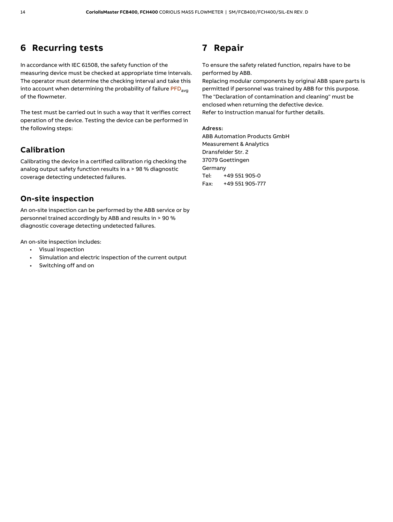## **6 Recurring tests**

In accordance with IEC 61508, the safety function of the measuring device must be checked at appropriate time intervals. The operator must determine the checking interval and take this into account when determining the probability of failure PFD<sub>avg</sub> of the flowmeter.

The test must be carried out in such a way that it verifies correct operation of the device. Testing the device can be performed in the following steps:

## **Calibration**

Calibrating the device in a certified calibration rig checking the analog output safety function results in a > 98 % diagnostic coverage detecting undetected failures.

### **On-site inspection**

An on-site inspection can be performed by the ABB service or by personnel trained accordingly by ABB and results in > 90 % diagnostic coverage detecting undetected failures.

An on-site inspection includes:

- Visual inspection
- Simulation and electric inspection of the current output
- Switching off and on

## **7 Repair**

To ensure the safety related function, repairs have to be performed by ABB.

Replacing modular components by original ABB spare parts is permitted if personnel was trained by ABB for this purpose. The "Declaration of contamination and cleaning" must be enclosed when returning the defective device. Refer to instruction manual for further details.

#### Adress:

ABB Automation Products GmbH Measurement & Analytics Dransfelder Str. 2 37079 Goettingen Germany Tel: +49 551 905-0 Fax: +49 551 905-777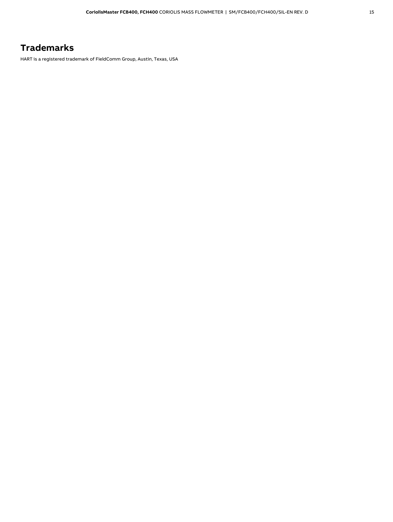## **Trademarks**

HART is a registered trademark of FieldComm Group, Austin, Texas, USA